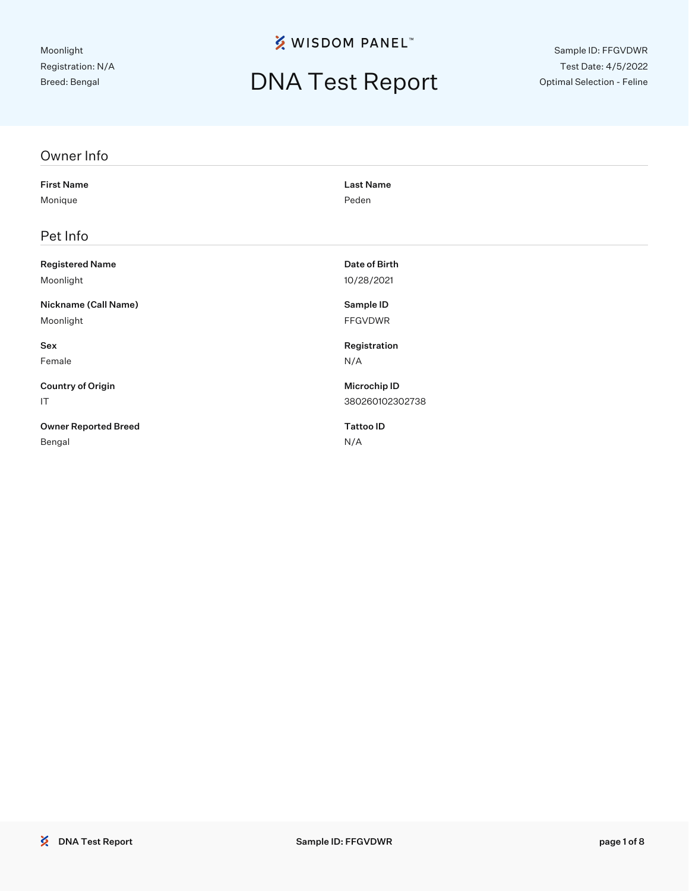# DNA Test Report

Sample ID: FFGVDWR Test Date: 4/5/2022 Optimal Selection - Feline

| Owner Info                  |                  |
|-----------------------------|------------------|
| <b>First Name</b>           | <b>Last Name</b> |
| Monique                     | Peden            |
| Pet Info                    |                  |
| <b>Registered Name</b>      | Date of Birth    |
| Moonlight                   | 10/28/2021       |
| Nickname (Call Name)        | Sample ID        |
| Moonlight                   | <b>FFGVDWR</b>   |
| Sex                         | Registration     |
| Female                      | N/A              |
| <b>Country of Origin</b>    | Microchip ID     |
| IT                          | 380260102302738  |
| <b>Owner Reported Breed</b> | <b>Tattoo ID</b> |
| Bengal                      | N/A              |
|                             |                  |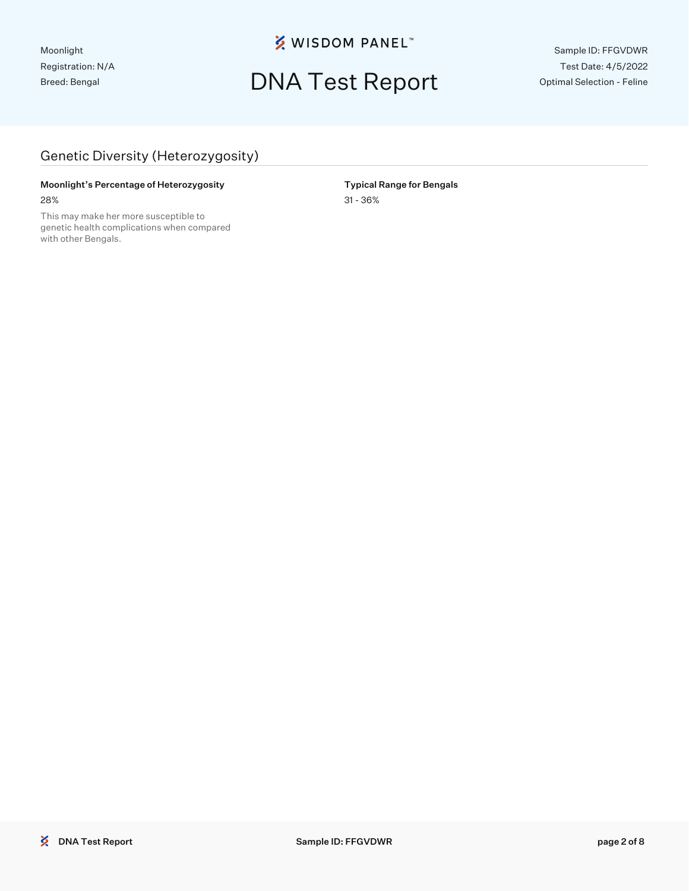## DNA Test Report

Sample ID: FFGVDWR Test Date: 4/5/2022 Optimal Selection - Feline

### Genetic Diversity (Heterozygosity)

#### Moonlight's Percentage of Heterozygosity **Typical Range for Bengals** 28% 31 - 36%

This may make her more susceptible to genetic health complications when compared with other Bengals.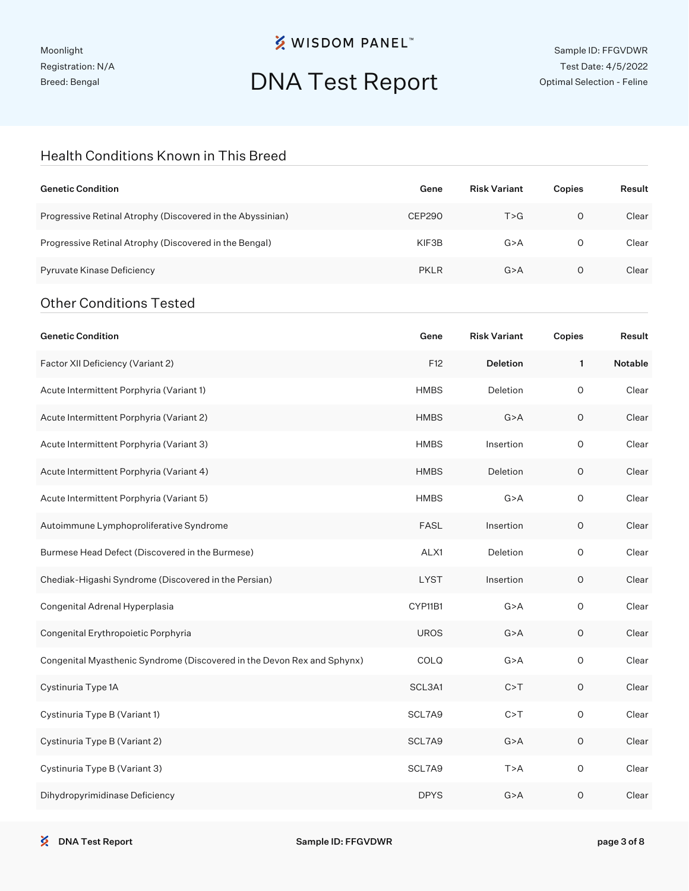Moonlight Registration: N/A Breed: Bengal

## **※ WISDOM PANEL**™

# DNA Test Report

#### Health Conditions Known in This Breed

| <b>Genetic Condition</b>                                                | Gene          | <b>Risk Variant</b> | Copies      | Result  |
|-------------------------------------------------------------------------|---------------|---------------------|-------------|---------|
| Progressive Retinal Atrophy (Discovered in the Abyssinian)              | <b>CEP290</b> | T > G               | $\circ$     | Clear   |
| Progressive Retinal Atrophy (Discovered in the Bengal)                  | KIF3B         | G > A               | 0           | Clear   |
| Pyruvate Kinase Deficiency                                              | <b>PKLR</b>   | G > A               | 0           | Clear   |
| <b>Other Conditions Tested</b>                                          |               |                     |             |         |
| <b>Genetic Condition</b>                                                | Gene          | <b>Risk Variant</b> | Copies      | Result  |
| Factor XII Deficiency (Variant 2)                                       | F12           | <b>Deletion</b>     | 1           | Notable |
| Acute Intermittent Porphyria (Variant 1)                                | <b>HMBS</b>   | Deletion            | $\circ$     | Clear   |
| Acute Intermittent Porphyria (Variant 2)                                | <b>HMBS</b>   | G > A               | $\mathsf O$ | Clear   |
| Acute Intermittent Porphyria (Variant 3)                                | <b>HMBS</b>   | Insertion           | $\circ$     | Clear   |
| Acute Intermittent Porphyria (Variant 4)                                | <b>HMBS</b>   | Deletion            | 0           | Clear   |
| Acute Intermittent Porphyria (Variant 5)                                | <b>HMBS</b>   | G > A               | $\circ$     | Clear   |
| Autoimmune Lymphoproliferative Syndrome                                 | <b>FASL</b>   | Insertion           | 0           | Clear   |
| Burmese Head Defect (Discovered in the Burmese)                         | ALX1          | Deletion            | $\circ$     | Clear   |
| Chediak-Higashi Syndrome (Discovered in the Persian)                    | <b>LYST</b>   | Insertion           | 0           | Clear   |
| Congenital Adrenal Hyperplasia                                          | CYP11B1       | G > A               | $\circ$     | Clear   |
| Congenital Erythropoietic Porphyria                                     | <b>UROS</b>   | G > A               | O           | Clear   |
| Congenital Myasthenic Syndrome (Discovered in the Devon Rex and Sphynx) | COLQ          | G > A               | O           | Clear   |
| Cystinuria Type 1A                                                      | SCL3A1        | C > T               | $\mathsf O$ | Clear   |
| Cystinuria Type B (Variant 1)                                           | SCL7A9        | C > T               | $\mathsf O$ | Clear   |
| Cystinuria Type B (Variant 2)                                           | SCL7A9        | G > A               | $\mathsf O$ | Clear   |
| Cystinuria Type B (Variant 3)                                           | SCL7A9        | T > A               | $\mathsf O$ | Clear   |
| Dihydropyrimidinase Deficiency                                          | <b>DPYS</b>   | G > A               | $\mathsf O$ | Clear   |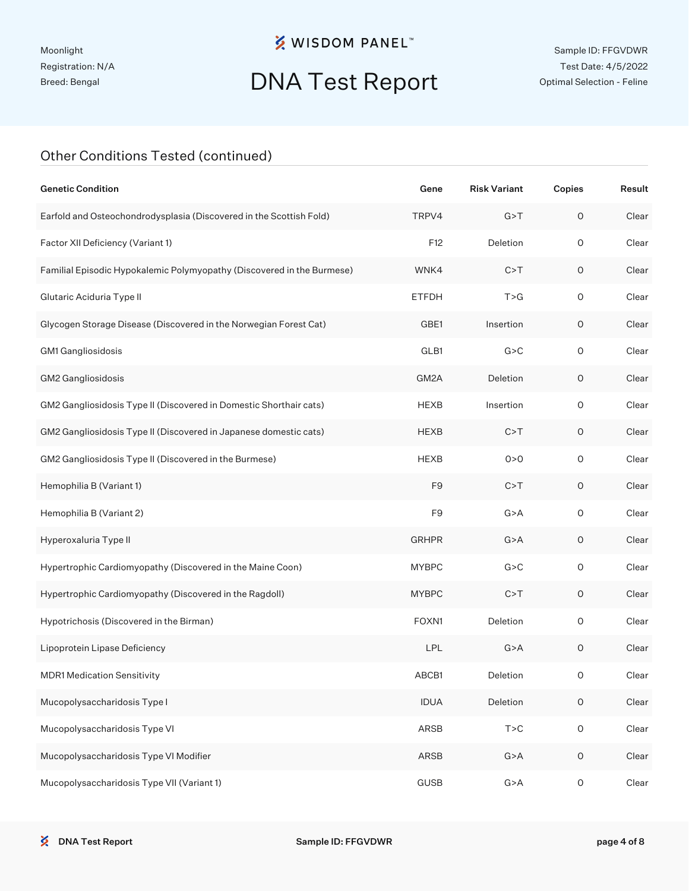# DNA Test Report

### Other Conditions Tested (continued)

| <b>Genetic Condition</b>                                               | Gene           | <b>Risk Variant</b> | Copies              | Result |
|------------------------------------------------------------------------|----------------|---------------------|---------------------|--------|
| Earfold and Osteochondrodysplasia (Discovered in the Scottish Fold)    | TRPV4          | G > T               | $\circ$             | Clear  |
| Factor XII Deficiency (Variant 1)                                      | F12            | Deletion            | $\circ$             | Clear  |
| Familial Episodic Hypokalemic Polymyopathy (Discovered in the Burmese) | WNK4           | C > T               | $\mathsf O$         | Clear  |
| Glutaric Aciduria Type II                                              | <b>ETFDH</b>   | T > G               | $\circ$             | Clear  |
| Glycogen Storage Disease (Discovered in the Norwegian Forest Cat)      | GBE1           | Insertion           | 0                   | Clear  |
| GM1 Gangliosidosis                                                     | GLB1           | G > C               | $\circ$             | Clear  |
| GM2 Gangliosidosis                                                     | GM2A           | Deletion            | $\mathsf O$         | Clear  |
| GM2 Gangliosidosis Type II (Discovered in Domestic Shorthair cats)     | <b>HEXB</b>    | Insertion           | $\circ$             | Clear  |
| GM2 Gangliosidosis Type II (Discovered in Japanese domestic cats)      | <b>HEXB</b>    | C > T               | $\mathsf O$         | Clear  |
| GM2 Gangliosidosis Type II (Discovered in the Burmese)                 | <b>HEXB</b>    | 0 > 0               | $\circ$             | Clear  |
| Hemophilia B (Variant 1)                                               | F <sub>9</sub> | C > T               | $\mathsf O$         | Clear  |
| Hemophilia B (Variant 2)                                               | F <sub>9</sub> | G > A               | $\mathsf O$         | Clear  |
| Hyperoxaluria Type II                                                  | <b>GRHPR</b>   | G > A               | $\mathsf O$         | Clear  |
| Hypertrophic Cardiomyopathy (Discovered in the Maine Coon)             | <b>MYBPC</b>   | G > C               | $\mathsf O$         | Clear  |
| Hypertrophic Cardiomyopathy (Discovered in the Ragdoll)                | <b>MYBPC</b>   | C > T               | $\mathsf O$         | Clear  |
| Hypotrichosis (Discovered in the Birman)                               | FOXN1          | Deletion            | $\circ$             | Clear  |
| Lipoprotein Lipase Deficiency                                          | <b>LPL</b>     | G > A               | $\mathsf O$         | Clear  |
| <b>MDR1 Medication Sensitivity</b>                                     | ABCB1          | Deletion            | 0                   | Clear  |
| Mucopolysaccharidosis Type I                                           | <b>IDUA</b>    | Deletion            | $\mathsf O$         | Clear  |
| Mucopolysaccharidosis Type VI                                          | ARSB           | T > C               | $\mathsf{O}\xspace$ | Clear  |
| Mucopolysaccharidosis Type VI Modifier                                 | ARSB           | G > A               | $\mathsf O$         | Clear  |
| Mucopolysaccharidosis Type VII (Variant 1)                             | <b>GUSB</b>    | G > A               | $\mathsf O$         | Clear  |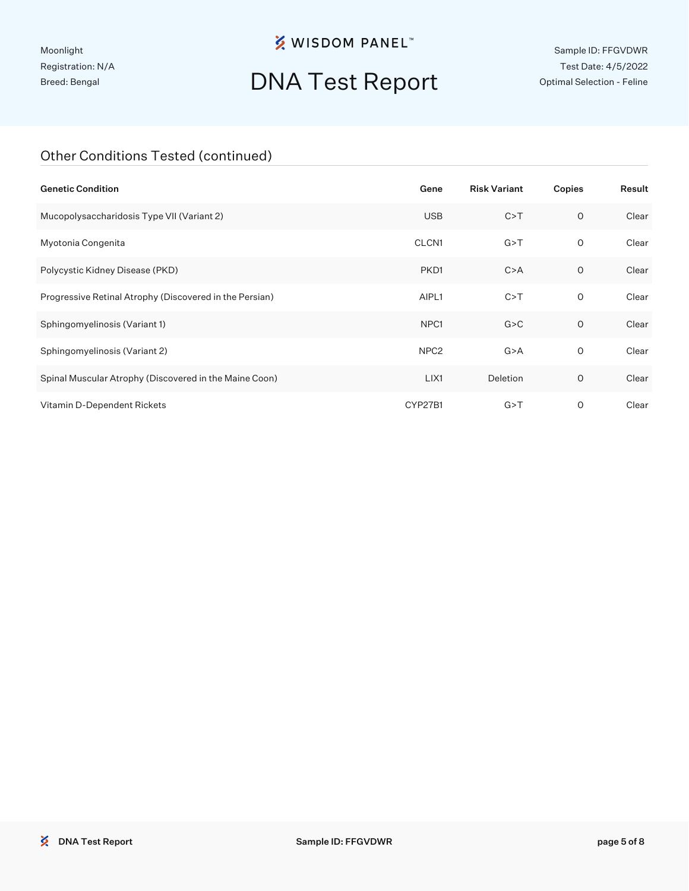Moonlight Registration: N/A Breed: Bengal

## **※ WISDOM PANEL**™

# DNA Test Report

Sample ID: FFGVDWR Test Date: 4/5/2022 Optimal Selection - Feline

### Other Conditions Tested (continued)

| <b>Genetic Condition</b>                                | Gene              | <b>Risk Variant</b> | Copies  | Result |
|---------------------------------------------------------|-------------------|---------------------|---------|--------|
| Mucopolysaccharidosis Type VII (Variant 2)              | <b>USB</b>        | C > T               | $\circ$ | Clear  |
| Myotonia Congenita                                      | CLCN <sub>1</sub> | G > T               | 0       | Clear  |
| Polycystic Kidney Disease (PKD)                         | PKD1              | C > A               | 0       | Clear  |
| Progressive Retinal Atrophy (Discovered in the Persian) | AIPL1             | C > T               | 0       | Clear  |
| Sphingomyelinosis (Variant 1)                           | NPC <sub>1</sub>  | G > C               | $\circ$ | Clear  |
| Sphingomyelinosis (Variant 2)                           | NPC <sub>2</sub>  | G > A               | 0       | Clear  |
| Spinal Muscular Atrophy (Discovered in the Maine Coon)  | LIX1              | Deletion            | 0       | Clear  |
| Vitamin D-Dependent Rickets                             | CYP27B1           | G > T               | 0       | Clear  |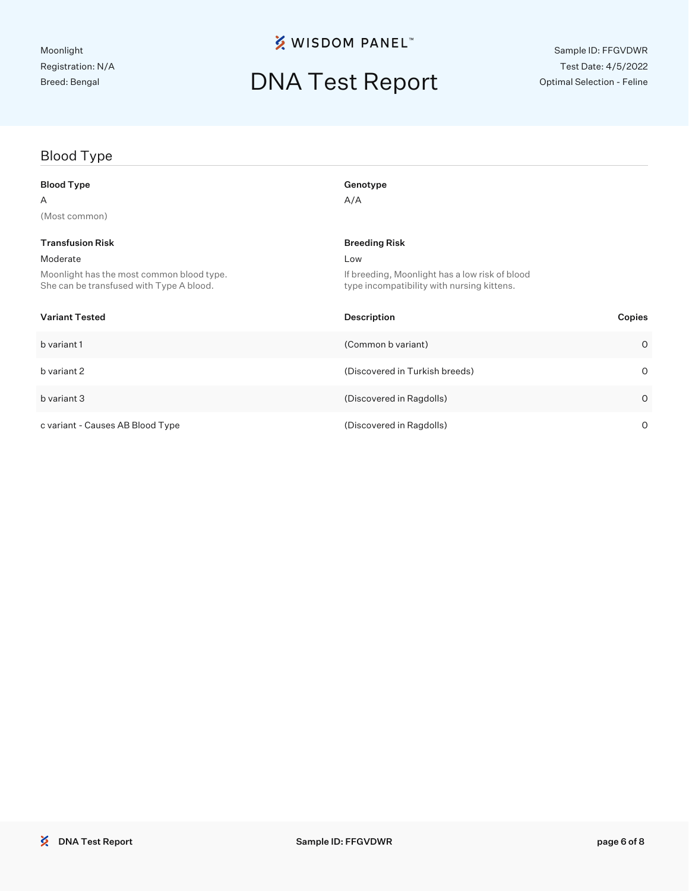## DNA Test Report

## Blood Type Blood Type Genotype Genotype  $A$  and  $A/A$ (Most common) **Transfusion Risk Breeding Risk Breeding Risk Breeding Risk** Breeding Risk Breeding Risk Moderate Low Moonlight has the most common blood type. She can be transfused with Type A blood. If breeding, Moonlight has a low risk of blood type incompatibility with nursing kittens. Variant Tested Description Copies b variant 1 (Common b variant) 0 b variant 2 (Discovered in Turkish breeds) 0 b variant 3 (Discovered in Ragdolls) 0 c variant - Causes AB Blood Type (Discovered in Ragdolls) 0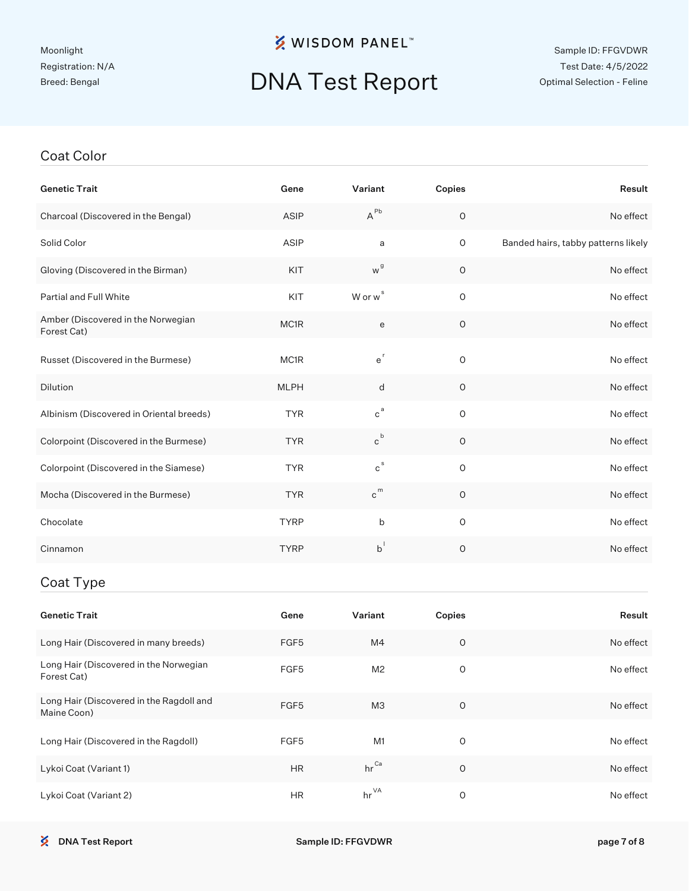# DNA Test Report

#### Coat Color

| <b>Genetic Trait</b>                                    | Gene          | Variant                     | Copies      | Result                              |
|---------------------------------------------------------|---------------|-----------------------------|-------------|-------------------------------------|
| Charcoal (Discovered in the Bengal)                     | ASIP          | $A^{Pb}$                    | $\mathsf O$ | No effect                           |
| Solid Color                                             | ASIP          | a                           | $\mathsf O$ | Banded hairs, tabby patterns likely |
| Gloving (Discovered in the Birman)                      | KIT           | w <sup>g</sup>              | $\mathsf O$ | No effect                           |
| Partial and Full White                                  | KIT           | W or w <sup>s</sup>         | $\mathsf O$ | No effect                           |
| Amber (Discovered in the Norwegian<br>Forest Cat)       | MC1R          | ${\bf e}$                   | $\mathsf O$ | No effect                           |
| Russet (Discovered in the Burmese)                      | MC1R          | $e^{r}$                     | O           | No effect                           |
| Dilution                                                | <b>MLPH</b>   | d                           | $\mathsf O$ | No effect                           |
| Albinism (Discovered in Oriental breeds)                | <b>TYR</b>    | $c^a$                       | $\mathsf O$ | No effect                           |
| Colorpoint (Discovered in the Burmese)                  | <b>TYR</b>    | $\mathrm{c}^{\mathrm{\,b}}$ | $\mathsf O$ | No effect                           |
| Colorpoint (Discovered in the Siamese)                  | <b>TYR</b>    | $\mathtt{c}^{\,\text{s}}$   | $\mathsf O$ | No effect                           |
| Mocha (Discovered in the Burmese)                       | <b>TYR</b>    | $c^{m}$                     | $\mathsf O$ | No effect                           |
| Chocolate                                               | <b>TYRP</b>   | b                           | $\mathsf O$ | No effect                           |
| Cinnamon                                                | <b>TYRP</b>   | $b^{\dagger}$               | $\mathsf O$ | No effect                           |
| Coat Type                                               |               |                             |             |                                     |
| <b>Genetic Trait</b>                                    | Gene          | Variant                     | Copies      | Result                              |
| Long Hair (Discovered in many breeds)                   | FGF5          | M4                          | $\mathsf O$ | No effect                           |
| Long Hair (Discovered in the Norwegian<br>Forest Cat)   | FGF5          | M <sub>2</sub>              | $\mathsf O$ | No effect                           |
| Long Hair (Discovered in the Ragdoll and<br>Maine Coon) | FGF5          | M <sub>3</sub>              | $\mathsf O$ | No effect                           |
| Long Hair (Discovered in the Ragdoll)                   | FGF5          | M <sub>1</sub>              | 0           | No effect                           |
| Lykoi Coat (Variant 1)                                  | $\mathsf{HR}$ | $\mathsf{hr}^{\mathsf{Ca}}$ | $\mathsf O$ | No effect                           |

Lykoi Coat (Variant 2) **HR** hr<sup>VA</sup> 0 0 No effect